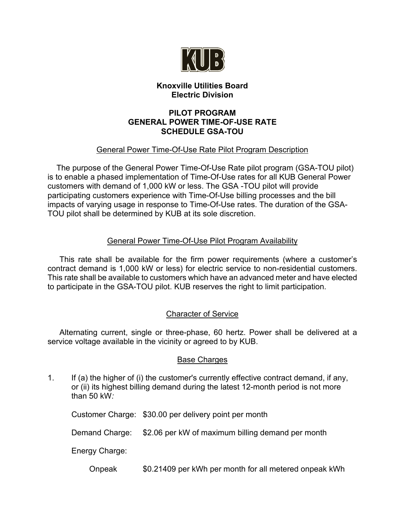

## **Knoxville Utilities Board Electric Division**

### **PILOT PROGRAM GENERAL POWER TIME-OF-USE RATE SCHEDULE GSA-TOU**

# General Power Time-Of-Use Rate Pilot Program Description

 The purpose of the General Power Time-Of-Use Rate pilot program (GSA-TOU pilot) is to enable a phased implementation of Time-Of-Use rates for all KUB General Power customers with demand of 1,000 kW or less. The GSA -TOU pilot will provide participating customers experience with Time-Of-Use billing processes and the bill impacts of varying usage in response to Time-Of-Use rates. The duration of the GSA-TOU pilot shall be determined by KUB at its sole discretion.

### General Power Time-Of-Use Pilot Program Availability

This rate shall be available for the firm power requirements (where a customer's contract demand is 1,000 kW or less) for electric service to non-residential customers. This rate shall be available to customers which have an advanced meter and have elected to participate in the GSA-TOU pilot. KUB reserves the right to limit participation.

## Character of Service

Alternating current, single or three-phase, 60 hertz. Power shall be delivered at a service voltage available in the vicinity or agreed to by KUB.

### Base Charges

1. If (a) the higher of (i) the customer's currently effective contract demand, if any, or (ii) its highest billing demand during the latest 12-month period is not more than 50 kW*:* 

Customer Charge: \$30.00 per delivery point per month

Demand Charge: \$2.06 per kW of maximum billing demand per month

Energy Charge:

Onpeak \$0.21409 per kWh per month for all metered onpeak kWh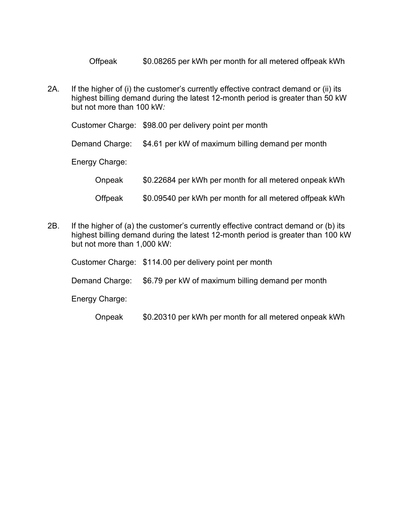Offpeak \$0.08265 per kWh per month for all metered offpeak kWh

2A. If the higher of (i) the customer's currently effective contract demand or (ii) its highest billing demand during the latest 12-month period is greater than 50 kW but not more than 100 kW*:*

Customer Charge: \$98.00 per delivery point per month Demand Charge: \$4.61 per kW of maximum billing demand per month Energy Charge: Onpeak \$0.22684 per kWh per month for all metered onpeak kWh Offpeak \$0.09540 per kWh per month for all metered offpeak kWh

2B. If the higher of (a) the customer's currently effective contract demand or (b) its highest billing demand during the latest 12-month period is greater than 100 kW but not more than 1,000 kW:

|                | Customer Charge: \$114.00 per delivery point per month           |
|----------------|------------------------------------------------------------------|
|                | Demand Charge: \$6.79 per kW of maximum billing demand per month |
| Energy Charge: |                                                                  |

Onpeak \$0.20310 per kWh per month for all metered onpeak kWh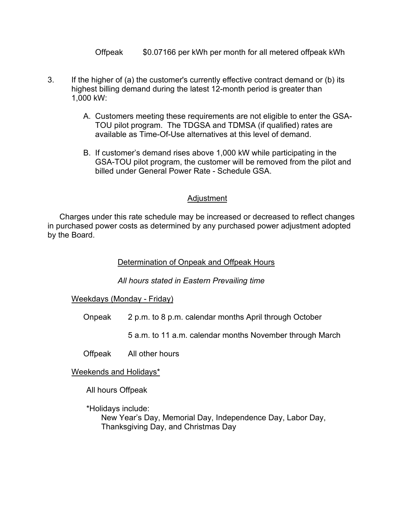Offpeak \$0.07166 per kWh per month for all metered offpeak kWh

- 3. If the higher of (a) the customer's currently effective contract demand or (b) its highest billing demand during the latest 12-month period is greater than 1,000 kW:
	- A. Customers meeting these requirements are not eligible to enter the GSA-TOU pilot program. The TDGSA and TDMSA (if qualified) rates are available as Time-Of-Use alternatives at this level of demand.
	- B. If customer's demand rises above 1,000 kW while participating in the GSA-TOU pilot program, the customer will be removed from the pilot and billed under General Power Rate - Schedule GSA.

### Adjustment

Charges under this rate schedule may be increased or decreased to reflect changes in purchased power costs as determined by any purchased power adjustment adopted by the Board.

### Determination of Onpeak and Offpeak Hours

*All hours stated in Eastern Prevailing time*

### Weekdays (Monday - Friday)

- Onpeak 2 p.m. to 8 p.m. calendar months April through October
	- 5 a.m. to 11 a.m. calendar months November through March
- Offpeak All other hours
- Weekends and Holidays\*

All hours Offpeak

\*Holidays include:

New Year's Day, Memorial Day, Independence Day, Labor Day, Thanksgiving Day, and Christmas Day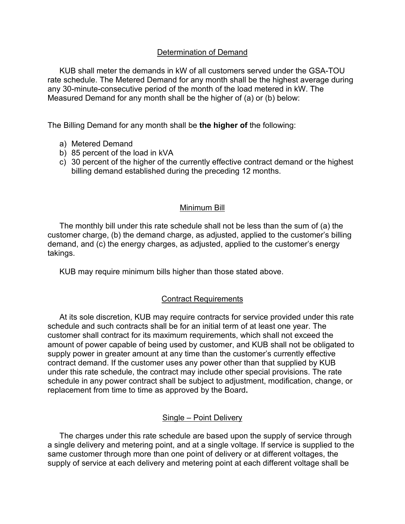### Determination of Demand

KUB shall meter the demands in kW of all customers served under the GSA-TOU rate schedule. The Metered Demand for any month shall be the highest average during any 30-minute-consecutive period of the month of the load metered in kW. The Measured Demand for any month shall be the higher of (a) or (b) below:

The Billing Demand for any month shall be **the higher of** the following:

- a) Metered Demand
- b) 85 percent of the load in kVA
- c) 30 percent of the higher of the currently effective contract demand or the highest billing demand established during the preceding 12 months.

#### Minimum Bill

The monthly bill under this rate schedule shall not be less than the sum of (a) the customer charge, (b) the demand charge, as adjusted, applied to the customer's billing demand, and (c) the energy charges, as adjusted, applied to the customer's energy takings.

KUB may require minimum bills higher than those stated above.

#### Contract Requirements

At its sole discretion, KUB may require contracts for service provided under this rate schedule and such contracts shall be for an initial term of at least one year. The customer shall contract for its maximum requirements, which shall not exceed the amount of power capable of being used by customer, and KUB shall not be obligated to supply power in greater amount at any time than the customer's currently effective contract demand. If the customer uses any power other than that supplied by KUB under this rate schedule, the contract may include other special provisions. The rate schedule in any power contract shall be subject to adjustment, modification, change, or replacement from time to time as approved by the Board**.**

#### Single – Point Delivery

The charges under this rate schedule are based upon the supply of service through a single delivery and metering point, and at a single voltage. If service is supplied to the same customer through more than one point of delivery or at different voltages, the supply of service at each delivery and metering point at each different voltage shall be